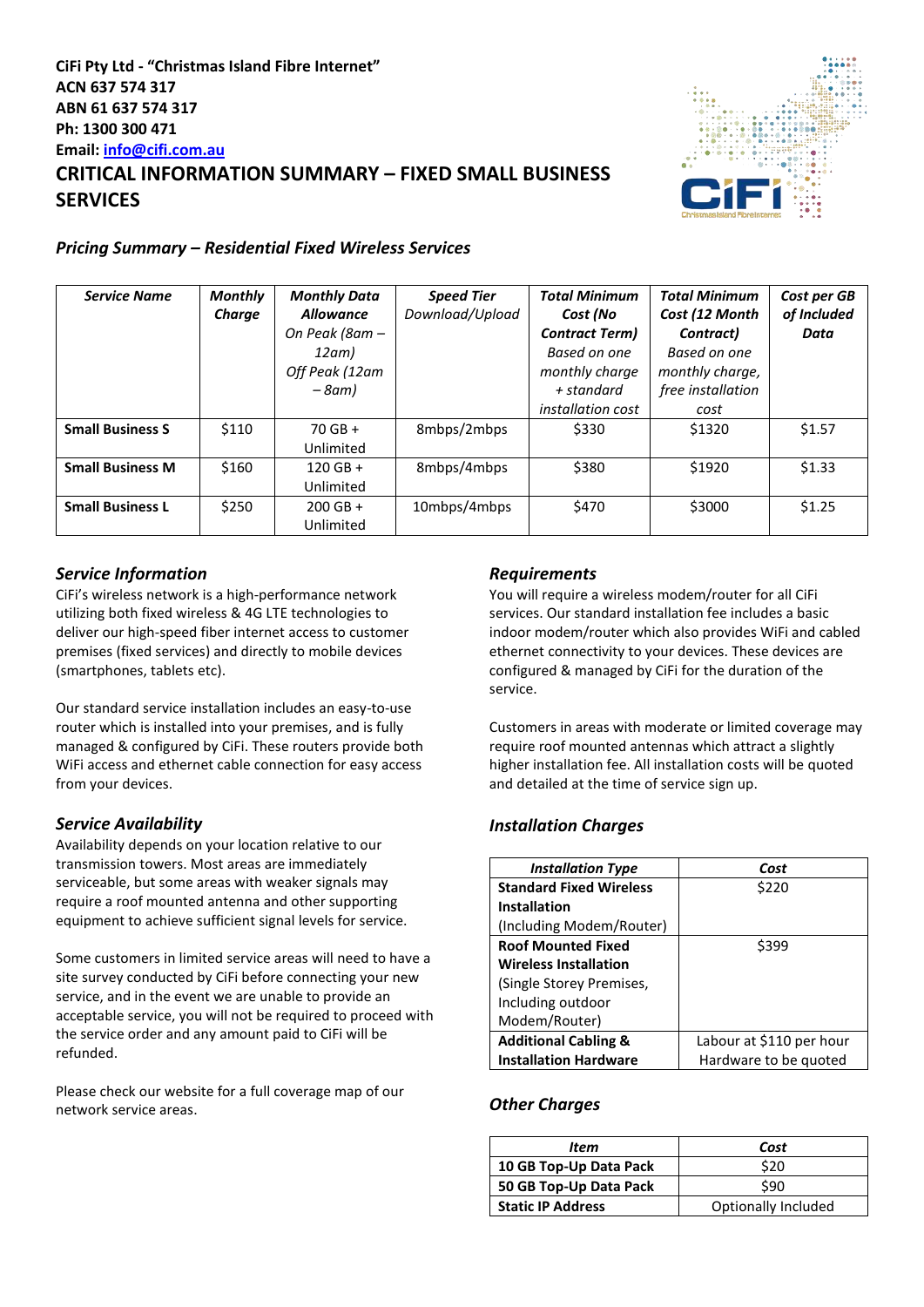# **CiFi Pty Ltd - "Christmas Island Fibre Internet" ACN 637 574 317 ABN 61 637 574 317 Ph: 1300 300 471 Email[: info@cifi.com.au](mailto:info@cifi.com.au) CRITICAL INFORMATION SUMMARY – FIXED SMALL BUSINESS SERVICES**



### *Pricing Summary – Residential Fixed Wireless Services*

| <b>Service Name</b>     | <b>Monthly</b> | <b>Monthly Data</b> | <b>Speed Tier</b> | <b>Total Minimum</b>     | <b>Total Minimum</b> | Cost per GB |
|-------------------------|----------------|---------------------|-------------------|--------------------------|----------------------|-------------|
|                         | Charge         | <b>Allowance</b>    | Download/Upload   | Cost (No                 | Cost (12 Month       | of Included |
|                         |                | On Peak (8am –      |                   | <b>Contract Term)</b>    | Contract)            | Data        |
|                         |                | 12am)               |                   | Based on one             | Based on one         |             |
|                         |                | Off Peak (12am      |                   | monthly charge           | monthly charge,      |             |
|                         |                | $-8$ am)            |                   | + standard               | free installation    |             |
|                         |                |                     |                   | <i>installation cost</i> | cost                 |             |
| <b>Small Business S</b> | \$110          | $70$ GB +           | 8mbps/2mbps       | \$330                    | \$1320               | \$1.57      |
|                         |                | Unlimited           |                   |                          |                      |             |
| <b>Small Business M</b> | \$160          | $120$ GB +          | 8mbps/4mbps       | \$380                    | \$1920               | \$1.33      |
|                         |                | Unlimited           |                   |                          |                      |             |
| <b>Small Business L</b> | \$250          | $200$ GB +          | 10mbps/4mbps      | \$470                    | \$3000               | \$1.25      |
|                         |                | Unlimited           |                   |                          |                      |             |

## *Service Information*

CiFi's wireless network is a high-performance network utilizing both fixed wireless & 4G LTE technologies to deliver our high-speed fiber internet access to customer premises (fixed services) and directly to mobile devices (smartphones, tablets etc).

Our standard service installation includes an easy-to-use router which is installed into your premises, and is fully managed & configured by CiFi. These routers provide both WiFi access and ethernet cable connection for easy access from your devices.

## *Service Availability*

Availability depends on your location relative to our transmission towers. Most areas are immediately serviceable, but some areas with weaker signals may require a roof mounted antenna and other supporting equipment to achieve sufficient signal levels for service.

Some customers in limited service areas will need to have a site survey conducted by CiFi before connecting your new service, and in the event we are unable to provide an acceptable service, you will not be required to proceed with the service order and any amount paid to CiFi will be refunded.

Please check our website for a full coverage map of our network service areas.

### *Requirements*

You will require a wireless modem/router for all CiFi services. Our standard installation fee includes a basic indoor modem/router which also provides WiFi and cabled ethernet connectivity to your devices. These devices are configured & managed by CiFi for the duration of the service.

Customers in areas with moderate or limited coverage may require roof mounted antennas which attract a slightly higher installation fee. All installation costs will be quoted and detailed at the time of service sign up.

## *Installation Charges*

| <b>Installation Type</b>        | Cost                     |
|---------------------------------|--------------------------|
| <b>Standard Fixed Wireless</b>  | \$220                    |
| <b>Installation</b>             |                          |
| (Including Modem/Router)        |                          |
| <b>Roof Mounted Fixed</b>       | \$399                    |
| <b>Wireless Installation</b>    |                          |
| (Single Storey Premises,        |                          |
| Including outdoor               |                          |
| Modem/Router)                   |                          |
| <b>Additional Cabling &amp;</b> | Labour at \$110 per hour |
| <b>Installation Hardware</b>    | Hardware to be quoted    |

## *Other Charges*

| Item                     | Cost                |  |  |
|--------------------------|---------------------|--|--|
| 10 GB Top-Up Data Pack   | \$20                |  |  |
| 50 GB Top-Up Data Pack   | \$90                |  |  |
| <b>Static IP Address</b> | Optionally Included |  |  |